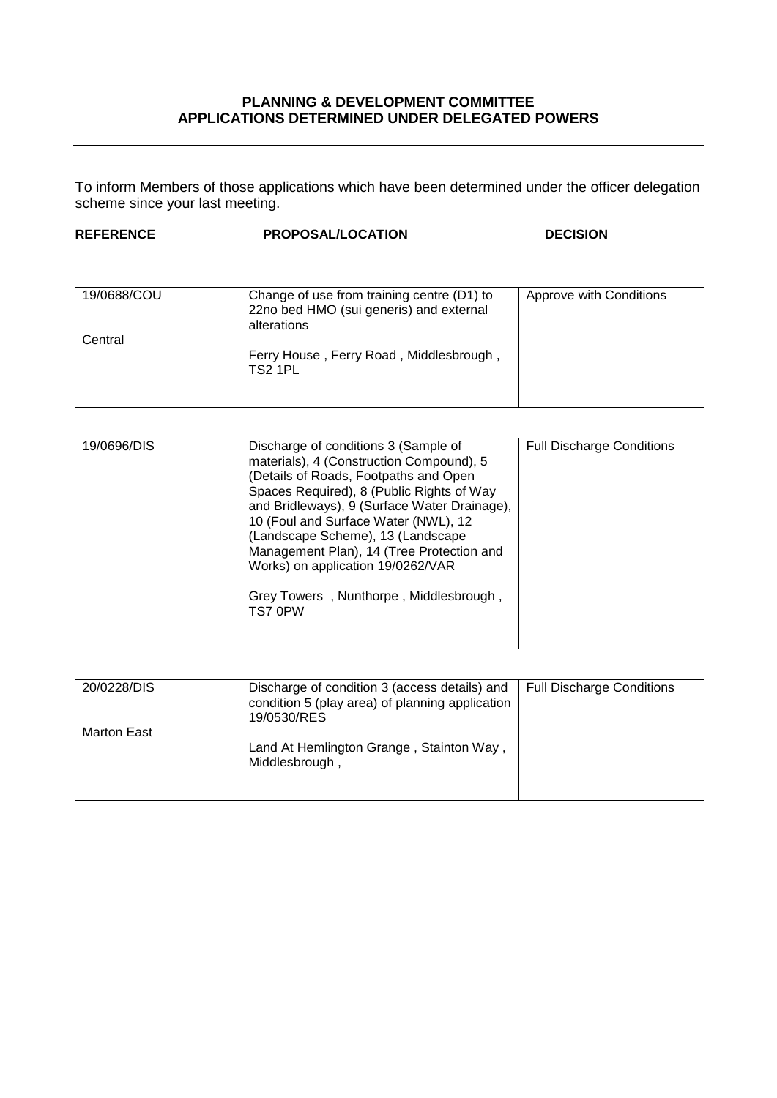## **PLANNING & DEVELOPMENT COMMITTEE APPLICATIONS DETERMINED UNDER DELEGATED POWERS**

To inform Members of those applications which have been determined under the officer delegation scheme since your last meeting.

## **REFERENCE PROPOSAL/LOCATION DECISION**

| 19/0688/COU | Change of use from training centre (D1) to<br>22no bed HMO (sui generis) and external<br>alterations | Approve with Conditions |
|-------------|------------------------------------------------------------------------------------------------------|-------------------------|
| Central     |                                                                                                      |                         |
|             | Ferry House, Ferry Road, Middlesbrough,<br>TS2 1PL                                                   |                         |

| 19/0696/DIS | Discharge of conditions 3 (Sample of<br>materials), 4 (Construction Compound), 5<br>(Details of Roads, Footpaths and Open<br>Spaces Required), 8 (Public Rights of Way<br>and Bridleways), 9 (Surface Water Drainage),<br>10 (Foul and Surface Water (NWL), 12<br>(Landscape Scheme), 13 (Landscape<br>Management Plan), 14 (Tree Protection and<br>Works) on application 19/0262/VAR<br>Grey Towers, Nunthorpe, Middlesbrough,<br>TS7 0PW | <b>Full Discharge Conditions</b> |
|-------------|--------------------------------------------------------------------------------------------------------------------------------------------------------------------------------------------------------------------------------------------------------------------------------------------------------------------------------------------------------------------------------------------------------------------------------------------|----------------------------------|

| 20/0228/DIS | Discharge of condition 3 (access details) and<br>condition 5 (play area) of planning application<br>19/0530/RES | <b>Full Discharge Conditions</b> |
|-------------|-----------------------------------------------------------------------------------------------------------------|----------------------------------|
| Marton East | Land At Hemlington Grange, Stainton Way,<br>Middlesbrough,                                                      |                                  |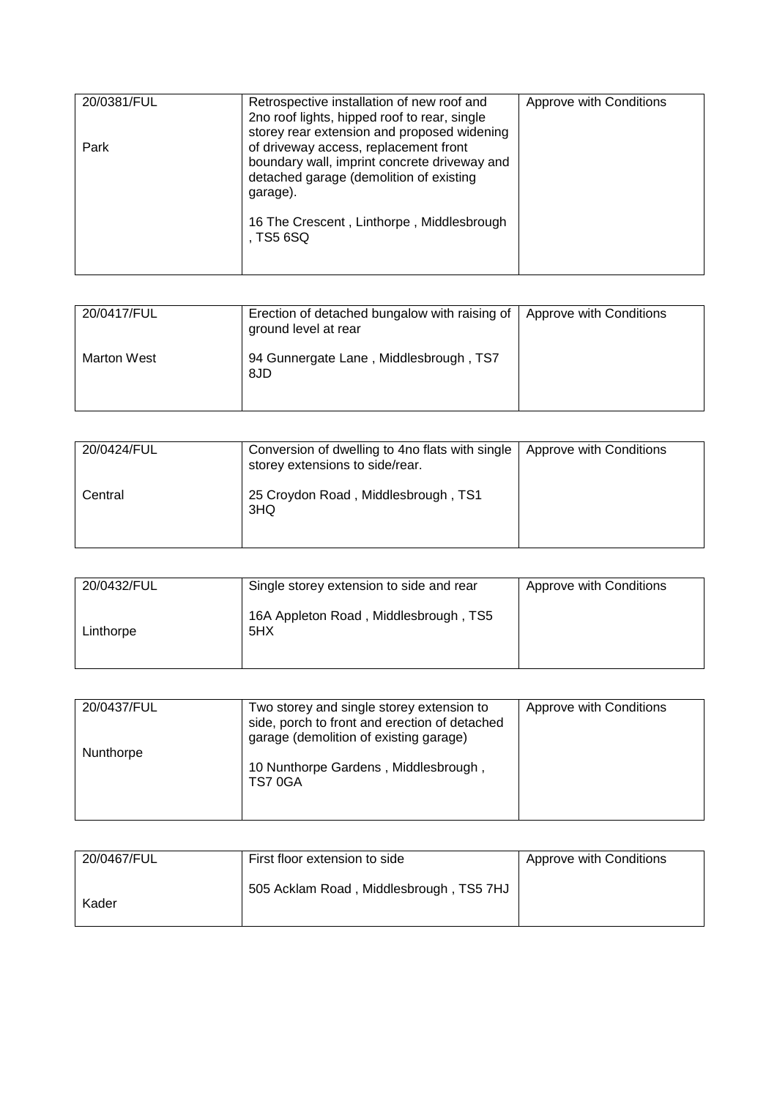| 20/0381/FUL | Retrospective installation of new roof and<br>2no roof lights, hipped roof to rear, single                                                                                                  | Approve with Conditions |
|-------------|---------------------------------------------------------------------------------------------------------------------------------------------------------------------------------------------|-------------------------|
| Park        | storey rear extension and proposed widening<br>of driveway access, replacement front<br>boundary wall, imprint concrete driveway and<br>detached garage (demolition of existing<br>garage). |                         |
|             | 16 The Crescent, Linthorpe, Middlesbrough<br>. TS5 6SQ                                                                                                                                      |                         |

| 20/0417/FUL        | Erection of detached bungalow with raising of   Approve with Conditions<br>ground level at rear |  |
|--------------------|-------------------------------------------------------------------------------------------------|--|
| <b>Marton West</b> | 94 Gunnergate Lane, Middlesbrough, TS7<br>8JD                                                   |  |

| 20/0424/FUL | Conversion of dwelling to 4no flats with single<br>storey extensions to side/rear. | <b>Approve with Conditions</b> |
|-------------|------------------------------------------------------------------------------------|--------------------------------|
| Central     | 25 Croydon Road, Middlesbrough, TS1<br>3HQ                                         |                                |

| 20/0432/FUL | Single storey extension to side and rear     | Approve with Conditions |
|-------------|----------------------------------------------|-------------------------|
| Linthorpe   | 16A Appleton Road, Middlesbrough, TS5<br>5HX |                         |

| 20/0437/FUL | Two storey and single storey extension to<br>side, porch to front and erection of detached<br>garage (demolition of existing garage) | Approve with Conditions |
|-------------|--------------------------------------------------------------------------------------------------------------------------------------|-------------------------|
| Nunthorpe   | 10 Nunthorpe Gardens, Middlesbrough,<br>TS7 0GA                                                                                      |                         |

| 20/0467/FUL | First floor extension to side           | Approve with Conditions |
|-------------|-----------------------------------------|-------------------------|
| Kader       | 505 Acklam Road, Middlesbrough, TS5 7HJ |                         |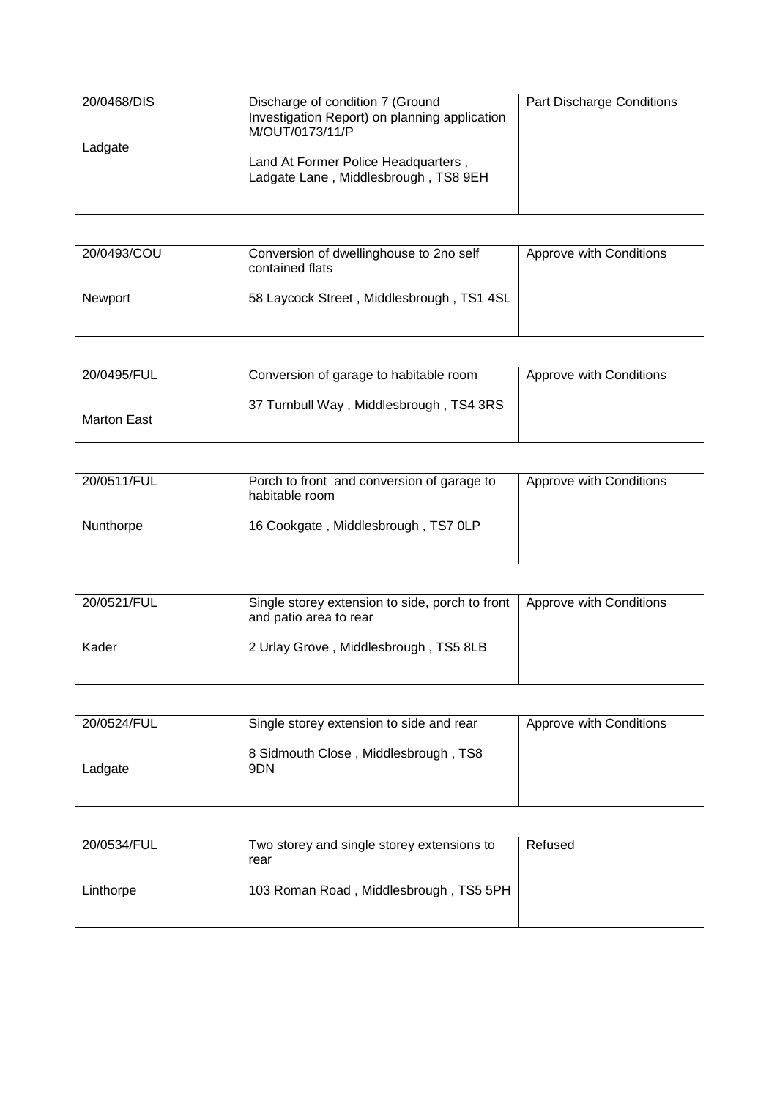| 20/0468/DIS | Discharge of condition 7 (Ground<br>Investigation Report) on planning application<br>M/OUT/0173/11/P | Part Discharge Conditions |
|-------------|------------------------------------------------------------------------------------------------------|---------------------------|
| Ladgate     | Land At Former Police Headquarters,<br>Ladgate Lane, Middlesbrough, TS8 9EH                          |                           |

| 20/0493/COU    | Conversion of dwellinghouse to 2no self<br>contained flats | Approve with Conditions |
|----------------|------------------------------------------------------------|-------------------------|
| <b>Newport</b> | 58 Laycock Street, Middlesbrough, TS1 4SL                  |                         |

| 20/0495/FUL | Conversion of garage to habitable room  | Approve with Conditions |
|-------------|-----------------------------------------|-------------------------|
| Marton East | 37 Turnbull Way, Middlesbrough, TS4 3RS |                         |

| 20/0511/FUL | Porch to front and conversion of garage to<br>habitable room | Approve with Conditions |
|-------------|--------------------------------------------------------------|-------------------------|
| Nunthorpe   | 16 Cookgate, Middlesbrough, TS7 0LP                          |                         |

| 20/0521/FUL | Single storey extension to side, porch to front   Approve with Conditions<br>and patio area to rear |  |
|-------------|-----------------------------------------------------------------------------------------------------|--|
| Kader       | 2 Urlay Grove, Middlesbrough, TS5 8LB                                                               |  |

| 20/0524/FUL | Single storey extension to side and rear    | Approve with Conditions |
|-------------|---------------------------------------------|-------------------------|
| Ladgate     | 8 Sidmouth Close, Middlesbrough, TS8<br>9DN |                         |

| 20/0534/FUL | Two storey and single storey extensions to<br>rear | Refused |
|-------------|----------------------------------------------------|---------|
| Linthorpe   | 103 Roman Road, Middlesbrough, TS5 5PH             |         |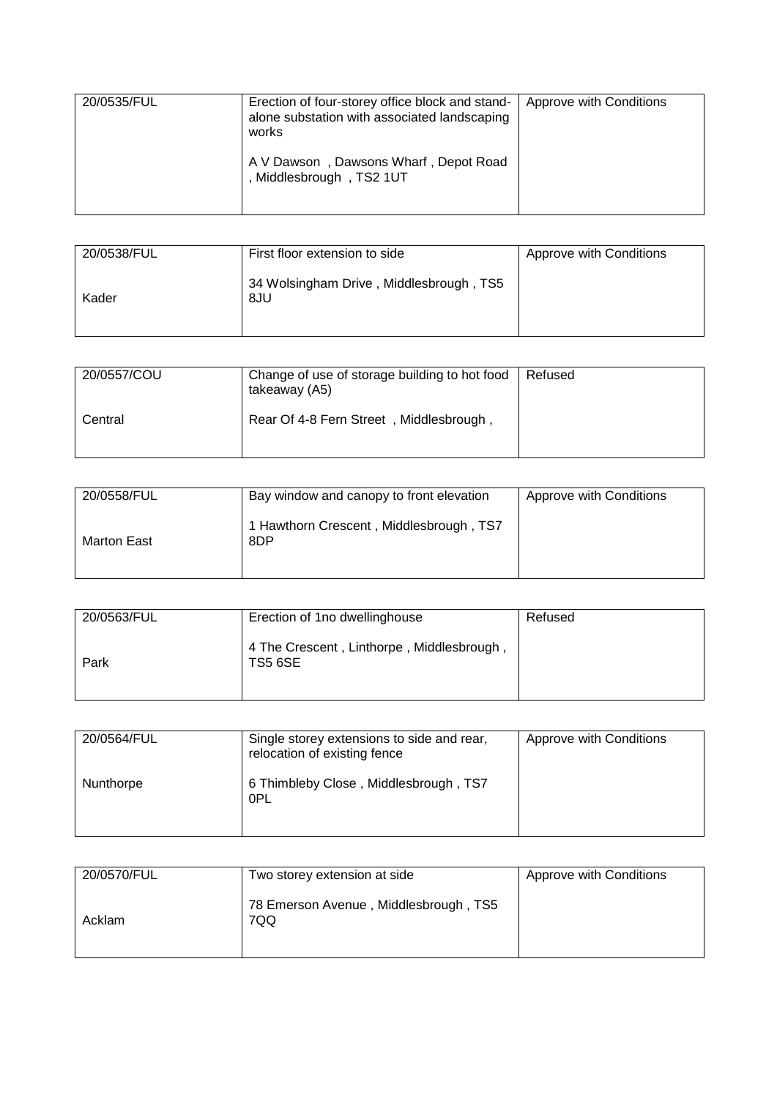| 20/0535/FUL | Erection of four-storey office block and stand-<br>alone substation with associated landscaping<br>works | Approve with Conditions |
|-------------|----------------------------------------------------------------------------------------------------------|-------------------------|
|             | A V Dawson, Dawsons Wharf, Depot Road<br>, Middlesbrough, TS2 1UT                                        |                         |

| 20/0538/FUL | First floor extension to side                  | Approve with Conditions |
|-------------|------------------------------------------------|-------------------------|
| Kader       | 34 Wolsingham Drive, Middlesbrough, TS5<br>8JU |                         |

| 20/0557/COU | Change of use of storage building to hot food<br>takeaway (A5) | Refused |
|-------------|----------------------------------------------------------------|---------|
| Central     | Rear Of 4-8 Fern Street, Middlesbrough,                        |         |

| 20/0558/FUL | Bay window and canopy to front elevation       | Approve with Conditions |
|-------------|------------------------------------------------|-------------------------|
| Marton East | 1 Hawthorn Crescent, Middlesbrough, TS7<br>8DP |                         |

| 20/0563/FUL | Erection of 1no dwellinghouse                               | Refused |
|-------------|-------------------------------------------------------------|---------|
| Park        | 4 The Crescent, Linthorpe, Middlesbrough,<br><b>TS5 6SE</b> |         |

| 20/0564/FUL | Single storey extensions to side and rear,<br>relocation of existing fence | Approve with Conditions |
|-------------|----------------------------------------------------------------------------|-------------------------|
| Nunthorpe   | 6 Thimbleby Close, Middlesbrough, TS7<br>0PL                               |                         |

| 20/0570/FUL | Two storey extension at side                 | Approve with Conditions |
|-------------|----------------------------------------------|-------------------------|
| Acklam      | 78 Emerson Avenue, Middlesbrough, TS5<br>7QQ |                         |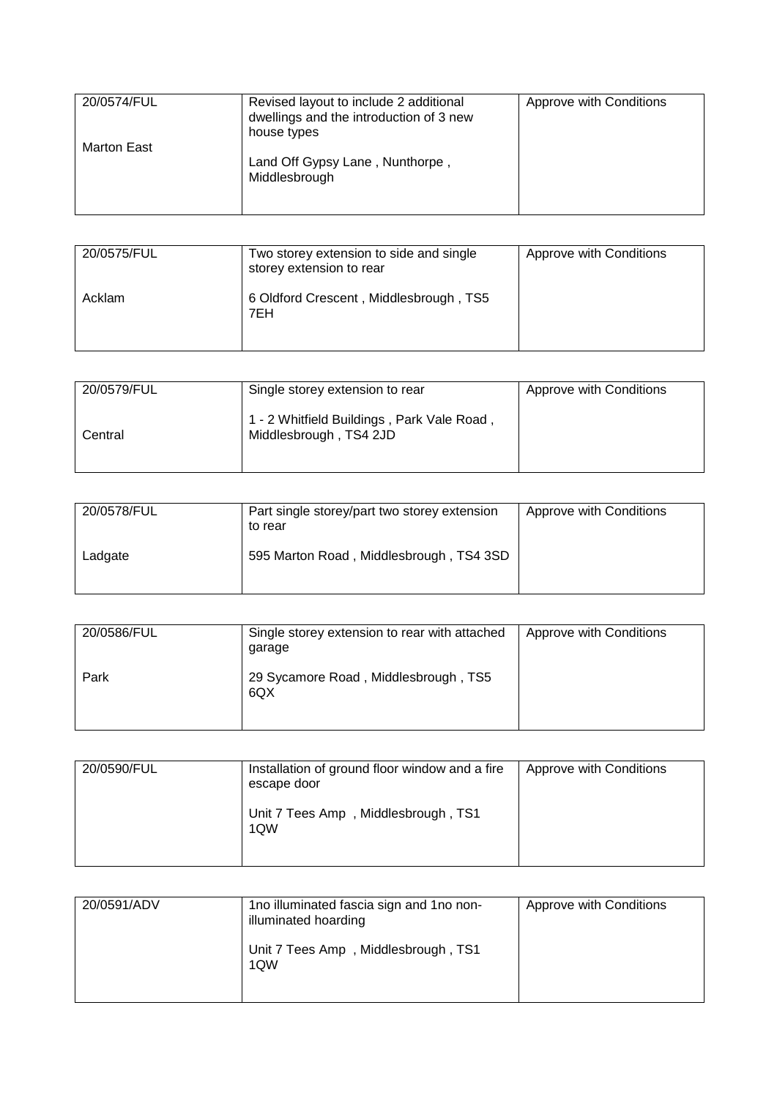| 20/0574/FUL | Revised layout to include 2 additional<br>dwellings and the introduction of 3 new<br>house types | Approve with Conditions |
|-------------|--------------------------------------------------------------------------------------------------|-------------------------|
| Marton East | Land Off Gypsy Lane, Nunthorpe,<br>Middlesbrough                                                 |                         |

| 20/0575/FUL | Two storey extension to side and single<br>storey extension to rear | Approve with Conditions |
|-------------|---------------------------------------------------------------------|-------------------------|
| Acklam      | 6 Oldford Crescent, Middlesbrough, TS5<br>7EH                       |                         |

| 20/0579/FUL | Single storey extension to rear                                      | Approve with Conditions |
|-------------|----------------------------------------------------------------------|-------------------------|
| Central     | 1 - 2 Whitfield Buildings, Park Vale Road,<br>Middlesbrough, TS4 2JD |                         |

| 20/0578/FUL | Part single storey/part two storey extension<br>to rear | Approve with Conditions |
|-------------|---------------------------------------------------------|-------------------------|
| Ladgate     | 595 Marton Road, Middlesbrough, TS4 3SD                 |                         |

| 20/0586/FUL | Single storey extension to rear with attached<br>garage | Approve with Conditions |
|-------------|---------------------------------------------------------|-------------------------|
| Park        | 29 Sycamore Road, Middlesbrough, TS5<br>6QX             |                         |

| 20/0590/FUL | Installation of ground floor window and a fire<br>escape door | Approve with Conditions |
|-------------|---------------------------------------------------------------|-------------------------|
|             | Unit 7 Tees Amp, Middlesbrough, TS1<br>1QW                    |                         |

| 20/0591/ADV | 1no illuminated fascia sign and 1no non-<br>illuminated hoarding | Approve with Conditions |
|-------------|------------------------------------------------------------------|-------------------------|
|             | Unit 7 Tees Amp, Middlesbrough, TS1<br>1QW                       |                         |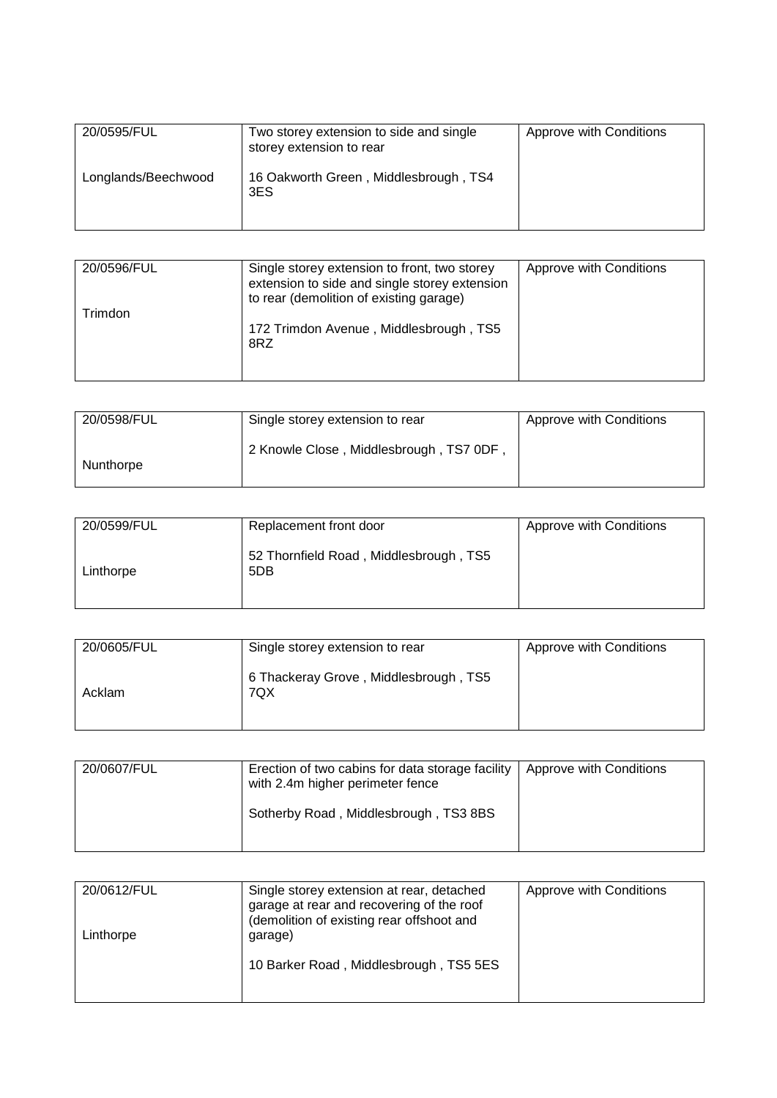| 20/0595/FUL         | Two storey extension to side and single<br>storey extension to rear | Approve with Conditions |
|---------------------|---------------------------------------------------------------------|-------------------------|
| Longlands/Beechwood | 16 Oakworth Green, Middlesbrough, TS4<br>3ES                        |                         |

| 20/0596/FUL | Single storey extension to front, two storey<br>extension to side and single storey extension<br>to rear (demolition of existing garage) | Approve with Conditions |
|-------------|------------------------------------------------------------------------------------------------------------------------------------------|-------------------------|
| Trimdon     | 172 Trimdon Avenue, Middlesbrough, TS5<br>8RZ                                                                                            |                         |

| 20/0598/FUL | Single storey extension to rear        | Approve with Conditions |
|-------------|----------------------------------------|-------------------------|
| Nunthorpe   | 2 Knowle Close, Middlesbrough, TS7 0DF |                         |

| 20/0599/FUL | Replacement front door                        | Approve with Conditions |
|-------------|-----------------------------------------------|-------------------------|
| Linthorpe   | 52 Thornfield Road, Middlesbrough, TS5<br>5DB |                         |

| 20/0605/FUL | Single storey extension to rear              | Approve with Conditions |
|-------------|----------------------------------------------|-------------------------|
| Acklam      | 6 Thackeray Grove, Middlesbrough, TS5<br>7QX |                         |

| 20/0607/FUL | Erection of two cabins for data storage facility<br>with 2.4m higher perimeter fence | Approve with Conditions |
|-------------|--------------------------------------------------------------------------------------|-------------------------|
|             | Sotherby Road, Middlesbrough, TS3 8BS                                                |                         |

| 20/0612/FUL<br>Linthorpe | Single storey extension at rear, detached<br>garage at rear and recovering of the roof<br>(demolition of existing rear offshoot and<br>garage) | Approve with Conditions |
|--------------------------|------------------------------------------------------------------------------------------------------------------------------------------------|-------------------------|
|                          | 10 Barker Road, Middlesbrough, TS5 5ES                                                                                                         |                         |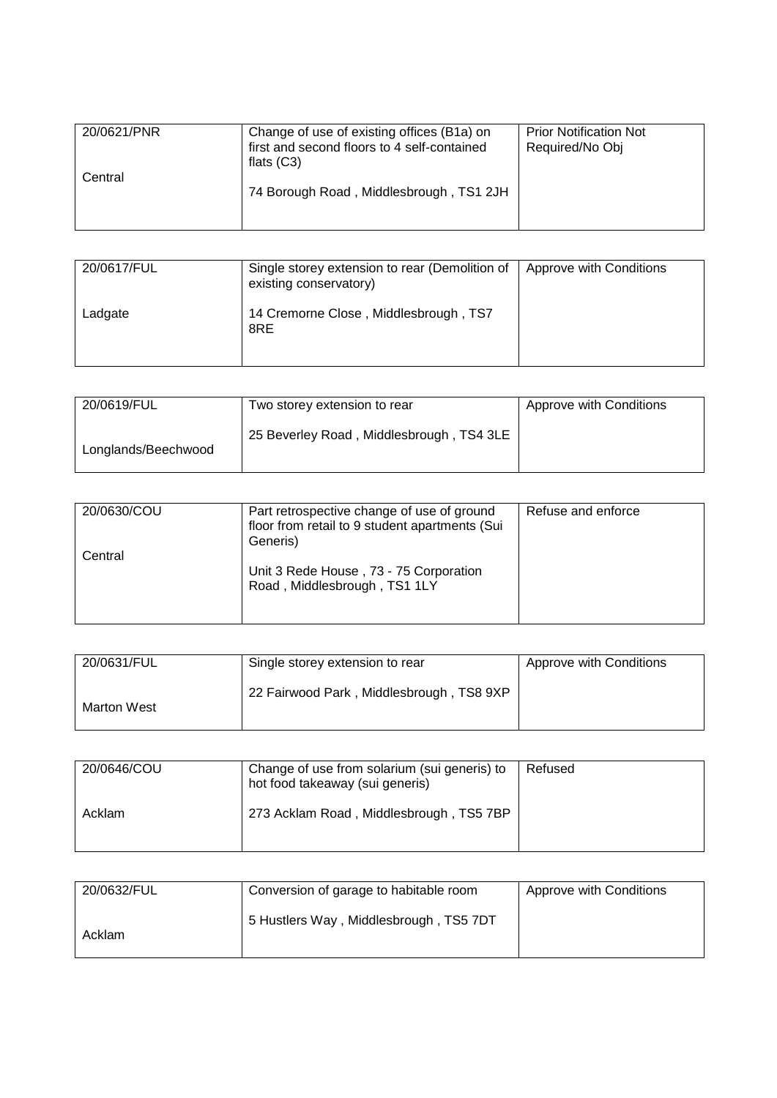| 20/0621/PNR<br>Central | Change of use of existing offices (B1a) on<br>first and second floors to 4 self-contained<br>flats $(C3)$ | <b>Prior Notification Not</b><br>Required/No Obj |
|------------------------|-----------------------------------------------------------------------------------------------------------|--------------------------------------------------|
|                        | 74 Borough Road, Middlesbrough, TS1 2JH                                                                   |                                                  |

| 20/0617/FUL | Single storey extension to rear (Demolition of<br>existing conservatory) | Approve with Conditions |
|-------------|--------------------------------------------------------------------------|-------------------------|
| Ladgate     | 14 Cremorne Close, Middlesbrough, TS7<br>8RE                             |                         |

| 20/0619/FUL         | Two storey extension to rear             | Approve with Conditions |
|---------------------|------------------------------------------|-------------------------|
| Longlands/Beechwood | 25 Beverley Road, Middlesbrough, TS4 3LE |                         |

| 20/0630/COU | Part retrospective change of use of ground<br>floor from retail to 9 student apartments (Sui<br>Generis) | Refuse and enforce |
|-------------|----------------------------------------------------------------------------------------------------------|--------------------|
| Central     | Unit 3 Rede House, 73 - 75 Corporation<br>Road, Middlesbrough, TS1 1LY                                   |                    |

| 20/0631/FUL | Single storey extension to rear          | Approve with Conditions |
|-------------|------------------------------------------|-------------------------|
| Marton West | 22 Fairwood Park, Middlesbrough, TS8 9XP |                         |

| 20/0646/COU | Change of use from solarium (sui generis) to<br>hot food takeaway (sui generis) | Refused |
|-------------|---------------------------------------------------------------------------------|---------|
| Acklam      | 273 Acklam Road, Middlesbrough, TS5 7BP                                         |         |

| 20/0632/FUL | Conversion of garage to habitable room | Approve with Conditions |
|-------------|----------------------------------------|-------------------------|
| Acklam      | 5 Hustlers Way, Middlesbrough, TS5 7DT |                         |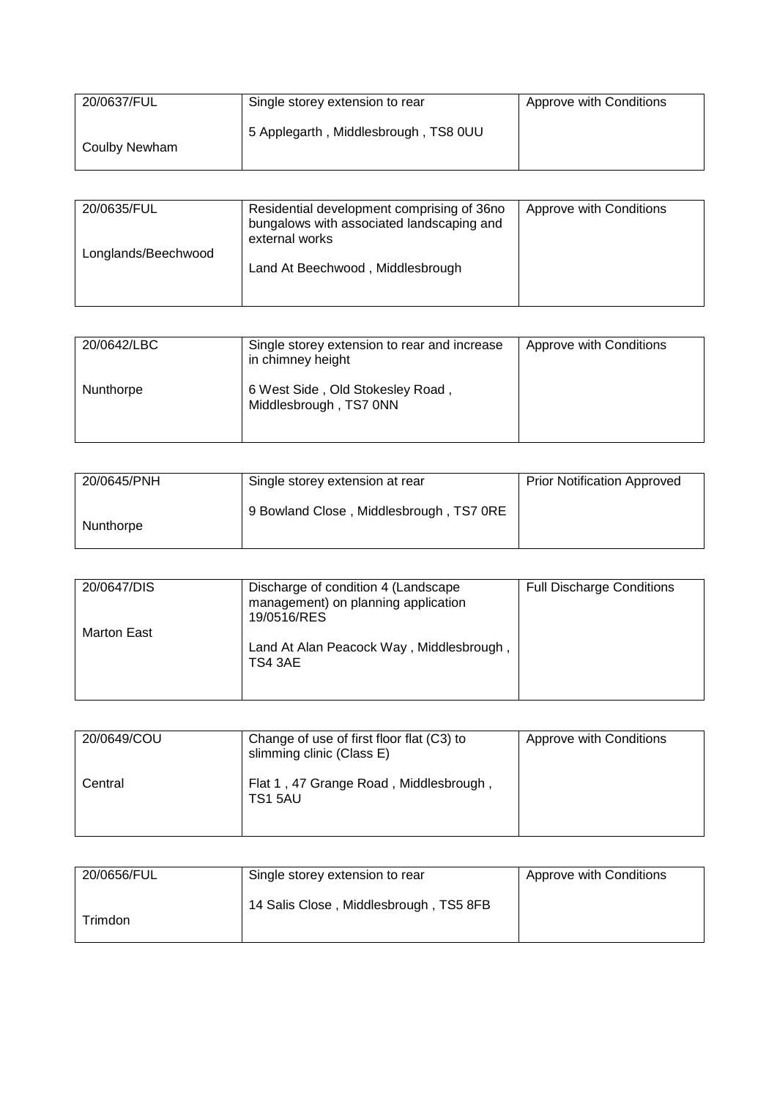| 20/0637/FUL   | Single storey extension to rear      | Approve with Conditions |
|---------------|--------------------------------------|-------------------------|
| Coulby Newham | 5 Applegarth, Middlesbrough, TS8 0UU |                         |

| 20/0635/FUL         | Residential development comprising of 36no<br>bungalows with associated landscaping and<br>external works | Approve with Conditions |
|---------------------|-----------------------------------------------------------------------------------------------------------|-------------------------|
| Longlands/Beechwood | Land At Beechwood, Middlesbrough                                                                          |                         |

| 20/0642/LBC | Single storey extension to rear and increase<br>in chimney height | Approve with Conditions |
|-------------|-------------------------------------------------------------------|-------------------------|
| Nunthorpe   | 6 West Side, Old Stokesley Road,<br>Middlesbrough, TS7 0NN        |                         |

| 20/0645/PNH | Single storey extension at rear         | <b>Prior Notification Approved</b> |
|-------------|-----------------------------------------|------------------------------------|
| Nunthorpe   | 9 Bowland Close, Middlesbrough, TS7 0RE |                                    |

| 20/0647/DIS        | Discharge of condition 4 (Landscape<br>management) on planning application<br>19/0516/RES | <b>Full Discharge Conditions</b> |
|--------------------|-------------------------------------------------------------------------------------------|----------------------------------|
| <b>Marton East</b> | Land At Alan Peacock Way, Middlesbrough,<br>TS4 3AE                                       |                                  |

| 20/0649/COU | Change of use of first floor flat (C3) to<br>slimming clinic (Class E) | Approve with Conditions |
|-------------|------------------------------------------------------------------------|-------------------------|
| Central     | Flat 1, 47 Grange Road, Middlesbrough,<br>TS15AU                       |                         |

| 20/0656/FUL | Single storey extension to rear        | Approve with Conditions |
|-------------|----------------------------------------|-------------------------|
| Trimdon     | 14 Salis Close, Middlesbrough, TS5 8FB |                         |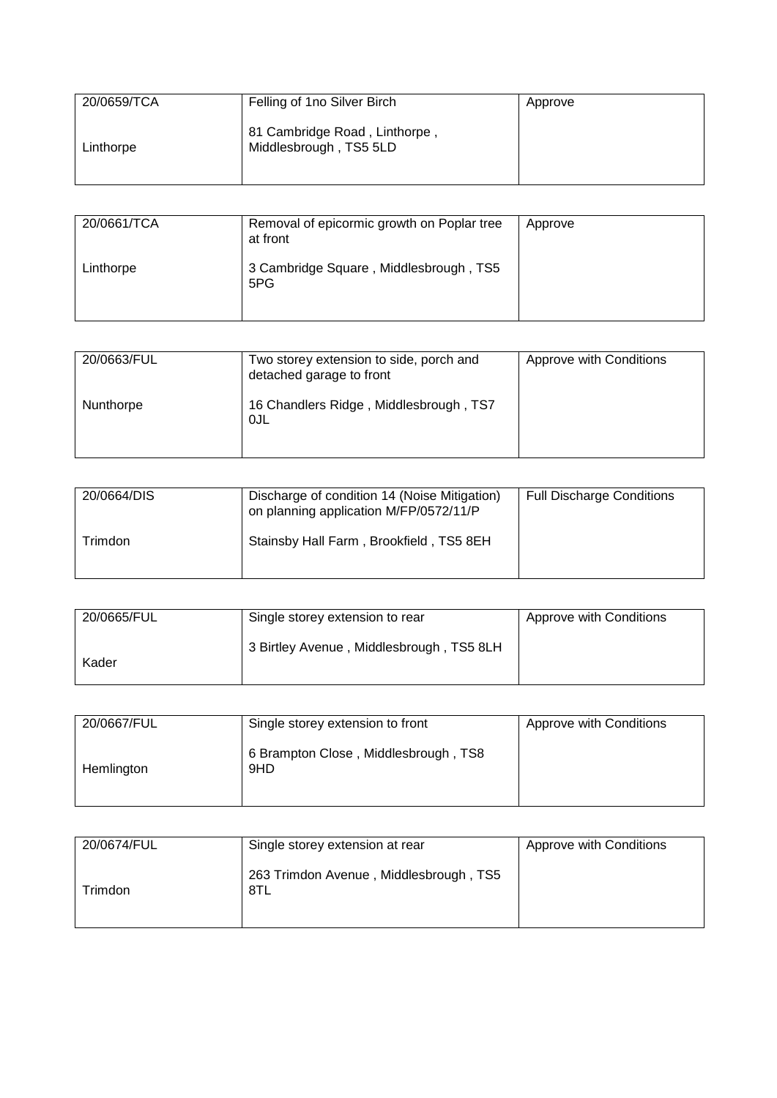| 20/0659/TCA | Felling of 1no Silver Birch                             | Approve |
|-------------|---------------------------------------------------------|---------|
| Linthorpe   | 81 Cambridge Road, Linthorpe,<br>Middlesbrough, TS5 5LD |         |

| 20/0661/TCA | Removal of epicormic growth on Poplar tree<br>at front | Approve |
|-------------|--------------------------------------------------------|---------|
| Linthorpe   | 3 Cambridge Square, Middlesbrough, TS5<br>5PG          |         |

| 20/0663/FUL | Two storey extension to side, porch and<br>detached garage to front | Approve with Conditions |
|-------------|---------------------------------------------------------------------|-------------------------|
| Nunthorpe   | 16 Chandlers Ridge, Middlesbrough, TS7<br>0JL                       |                         |

| 20/0664/DIS | Discharge of condition 14 (Noise Mitigation)<br>on planning application M/FP/0572/11/P | <b>Full Discharge Conditions</b> |
|-------------|----------------------------------------------------------------------------------------|----------------------------------|
| Trimdon     | Stainsby Hall Farm, Brookfield, TS5 8EH                                                |                                  |

| 20/0665/FUL | Single storey extension to rear          | Approve with Conditions |
|-------------|------------------------------------------|-------------------------|
| Kader       | 3 Birtley Avenue, Middlesbrough, TS5 8LH |                         |

| 20/0667/FUL | Single storey extension to front            | Approve with Conditions |
|-------------|---------------------------------------------|-------------------------|
| Hemlington  | 6 Brampton Close, Middlesbrough, TS8<br>9HD |                         |

| 20/0674/FUL | Single storey extension at rear               | Approve with Conditions |
|-------------|-----------------------------------------------|-------------------------|
| ⊺rimdon     | 263 Trimdon Avenue, Middlesbrough, TS5<br>8TL |                         |